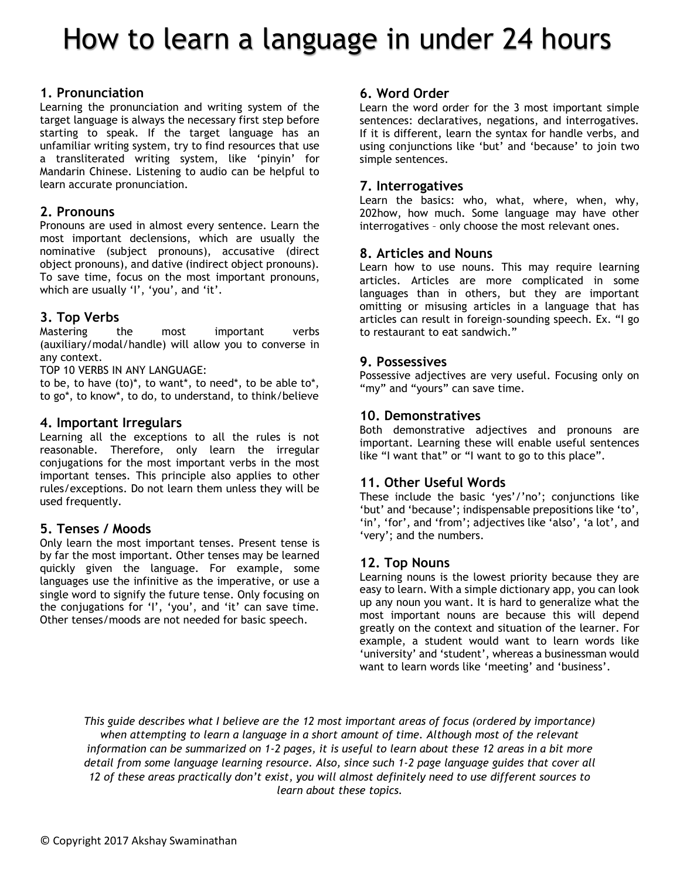## How to learn a language in under 24 hours

#### **1. Pronunciation**

Learning the pronunciation and writing system of the target language is always the necessary first step before starting to speak. If the target language has an unfamiliar writing system, try to find resources that use a transliterated writing system, like 'pinyin' for Mandarin Chinese. Listening to audio can be helpful to learn accurate pronunciation.

#### **2. Pronouns**

Pronouns are used in almost every sentence. Learn the most important declensions, which are usually the nominative (subject pronouns), accusative (direct object pronouns), and dative (indirect object pronouns). To save time, focus on the most important pronouns, which are usually 'I', 'you', and 'it'.

#### **3. Top Verbs**

Mastering the most important verbs (auxiliary/modal/handle) will allow you to converse in any context.

TOP 10 VERBS IN ANY LANGUAGE:

to be, to have (to)\*, to want\*, to need\*, to be able to\*, to go\*, to know\*, to do, to understand, to think/believe

#### **4. Important Irregulars**

Learning all the exceptions to all the rules is not reasonable. Therefore, only learn the irregular conjugations for the most important verbs in the most important tenses. This principle also applies to other rules/exceptions. Do not learn them unless they will be used frequently.

#### **5. Tenses / Moods**

Only learn the most important tenses. Present tense is by far the most important. Other tenses may be learned quickly given the language. For example, some languages use the infinitive as the imperative, or use a single word to signify the future tense. Only focusing on the conjugations for 'I', 'you', and 'it' can save time. Other tenses/moods are not needed for basic speech.

#### **6. Word Order**

Learn the word order for the 3 most important simple sentences: declaratives, negations, and interrogatives. If it is different, learn the syntax for handle verbs, and using conjunctions like 'but' and 'because' to join two simple sentences.

#### **7. Interrogatives**

Learn the basics: who, what, where, when, why, 202how, how much. Some language may have other interrogatives – only choose the most relevant ones.

#### **8. Articles and Nouns**

Learn how to use nouns. This may require learning articles. Articles are more complicated in some languages than in others, but they are important omitting or misusing articles in a language that has articles can result in foreign-sounding speech. Ex. "I go to restaurant to eat sandwich."

#### **9. Possessives**

Possessive adjectives are very useful. Focusing only on "my" and "yours" can save time.

#### **10. Demonstratives**

Both demonstrative adjectives and pronouns are important. Learning these will enable useful sentences like "I want that" or "I want to go to this place".

#### **11. Other Useful Words**

These include the basic 'yes'/'no'; conjunctions like 'but' and 'because'; indispensable prepositions like 'to', 'in', 'for', and 'from'; adjectives like 'also', 'a lot', and 'very'; and the numbers.

#### **12. Top Nouns**

Learning nouns is the lowest priority because they are easy to learn. With a simple dictionary app, you can look up any noun you want. It is hard to generalize what the most important nouns are because this will depend greatly on the context and situation of the learner. For example, a student would want to learn words like 'university' and 'student', whereas a businessman would want to learn words like 'meeting' and 'business'.

*This guide describes what I believe are the 12 most important areas of focus (ordered by importance) when attempting to learn a language in a short amount of time. Although most of the relevant information can be summarized on 1-2 pages, it is useful to learn about these 12 areas in a bit more detail from some language learning resource. Also, since such 1-2 page language guides that cover all 12 of these areas practically don't exist, you will almost definitely need to use different sources to learn about these topics.*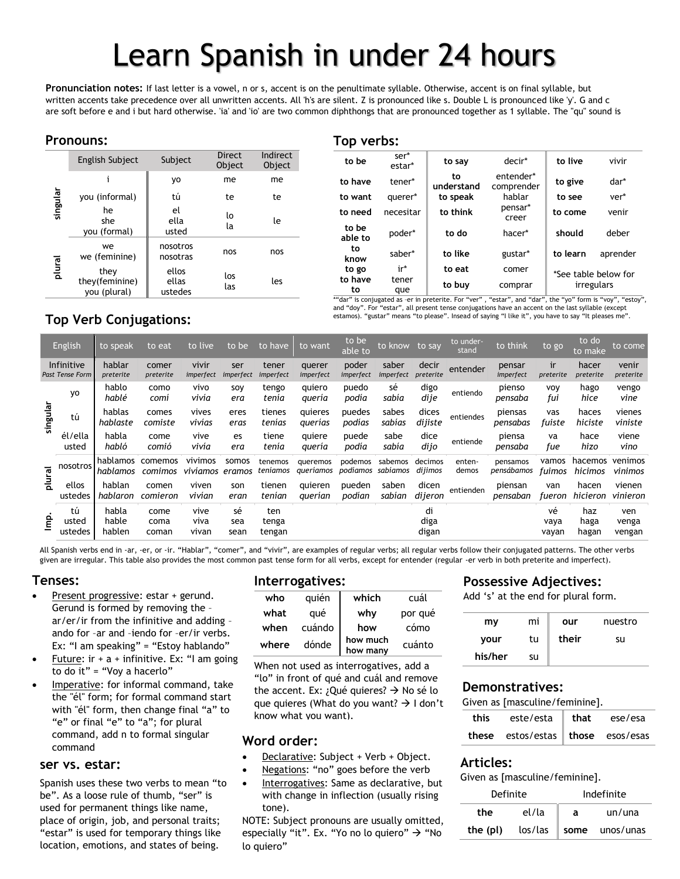# Learn Spanish in under 24 hours

**Pronunciation notes:** If last letter is a vowel, n or s, accent is on the penultimate syllable. Otherwise, accent is on final syllable, but written accents take precedence over all unwritten accents. All 'h's are silent. Z is pronounced like s. Double L is pronounced like 'y'. G and c are soft before e and i but hard otherwise. 'ia' and 'io' are two common diphthongs that are pronounced together as 1 syllable. The "qu" sound is

### **Pronouns:**

|          | English Subject                        | Subject                   | <b>Direct</b><br>Object | Indirect<br>Object |
|----------|----------------------------------------|---------------------------|-------------------------|--------------------|
|          |                                        | yo                        | me                      | me                 |
|          | you (informal)                         | tú                        | te                      | te                 |
| singular | he<br>she<br>you (formal)              | el<br>ella<br>usted       | lo<br>la                | le                 |
|          | we<br>we (feminine)                    | nosotros<br>nosotras      | nos                     | nos                |
| plural   | they<br>they(feminine)<br>you (plural) | ellos<br>ellas<br>ustedes | los<br>las              | les                |

#### **Top verbs:**

| to be            | ser*<br>estar* | to say           | decir*                  | to live  | vivir                |
|------------------|----------------|------------------|-------------------------|----------|----------------------|
| to have          | tener*         | to<br>understand | entender*<br>comprender | to give  | dar*                 |
| to want          | querer*        | to speak         | hablar                  | to see   | ver*                 |
| to need          | necesitar      | to think         | pensar*<br>creer        | to come  | venir                |
| to be<br>able to | poder*         | to do            | hacer*                  | should   | deber                |
| to<br>know       | saber*         | to like          | gustar*                 | to learn | aprender             |
| to go            | ir*            | to eat           | comer                   |          | *See table below for |
| to have<br>to    | tener<br>que   | to buy           | comprar                 |          | irregulars           |

\*"dar" is conjugated as -er in preterite. For "ver", "estar", and "dar", the "yo" form is "voy", "estoy", and "doy". For "estar", all present tense conjugations have an accent on the last syllable (except estamos). "gustar" means "to please". Insead of saying "I like it", you have to say "It pleases me".

### **Top Verb Conjugations:**

|          | English                              | to speak                 | to eat                | to live               | to be             | to have                | to want               | to be<br>able to    | to know to say      |                     | to under-<br>stand | to think               | to go               | to do<br>to make     | to come                |
|----------|--------------------------------------|--------------------------|-----------------------|-----------------------|-------------------|------------------------|-----------------------|---------------------|---------------------|---------------------|--------------------|------------------------|---------------------|----------------------|------------------------|
|          | Infinitive<br><b>Past Tense Form</b> | hablar<br>preterite      | comer<br>preterite    | vivir<br>imperfect    | ser<br>imperfect  | tener<br>imperfect     | querer<br>imperfect   | poder<br>imperfect  | saber<br>imperfect  | decir<br>preterite  | entender           | pensar<br>imperfect    | ir<br>preterite     | hacer<br>preterite   | venir<br>preterite     |
|          | yo                                   | hablo<br>hablé           | como<br>comi          | vivo<br>vivía         | soy<br>era        | tengo<br>tenia         | quiero<br>quería      | puedo<br>podía      | sé<br>sabia         | digo<br>dije        | entiendo           | pienso<br>pensaba      | <b>VOV</b><br>fui   | hago<br>hice         | vengo<br>vine          |
| singular | tú                                   | hablas<br>hablaste       | comes<br>comiste      | vives<br>vivías       | eres<br>eras      | tienes<br>tenias       | quieres<br>querias    | puedes<br>podías    | sabes<br>sabias     | dices<br>dijiste    | entiendes          | piensas<br>pensabas    | vas<br>fuiste       | haces<br>hiciste     | vienes<br>viniste      |
|          | él/ella<br>usted                     | habla<br>habló           | come<br>comió         | vive<br>vivía         | es<br>era         | tiene<br>tenia         | quiere<br>quería      | puede<br>podía      | sabe<br>sabia       | dice<br>dijo        | entiende           | piensa<br>pensaba      | va<br>fue           | hace<br>hizo         | viene<br>vino          |
| plural   | nosotros                             | hablamos<br>hablamos     | comemos<br>comimos    | vivimos<br>vivíamos   | somos<br>eramos   | tenemos<br>teníamos    | queremos<br>queriamos | podemos<br>podíamos | sabemos<br>sabiamos | decimos<br>dijimos  | enten-<br>demos    | pensamos<br>pensábamos | vamos<br>fuimos     | hacemos<br>hicimos   | venimos<br>vinimos     |
|          | ellos<br>ustedes                     | hablan<br>hablaron       | comen<br>comieron     | viven<br>vivían       | son<br>eran       | tienen<br>tenían       | quieren<br>querían    | pueden<br>podían    | saben<br>sabian     | dicen<br>dijeron    | entienden          | piensan<br>pensaban    | van<br>fueron       | hacen<br>hicieron    | vienen<br>vinieron     |
| 흩        | tú<br>usted<br>ustedes               | habla<br>hable<br>hablen | come<br>coma<br>coman | vive<br>viva<br>vivan | sé<br>sea<br>sean | ten<br>tenga<br>tengan |                       |                     |                     | di<br>diga<br>digan |                    |                        | vé<br>vaya<br>vayan | haz<br>haga<br>hagan | ven<br>venga<br>vengan |

All Spanish verbs end in -ar, -er, or -ir. "Hablar", "comer", and "vivir", are examples of regular verbs; all regular verbs follow their conjugated patterns. The other verbs given are irregular. This table also provides the most common past tense form for all verbs, except for entender (regular -er verb in both preterite and imperfect).

## **Tenses:**

- Present progressive: estar + gerund. Gerund is formed by removing the – ar/er/ir from the infinitive and adding – ando for –ar and –iendo for –er/ir verbs. Ex: "I am speaking" = "Estoy hablando"
- Future:  $ir + a + infinite$ . Ex: "I am going to do it" = "Voy a hacerlo"
- Imperative: for informal command, take the "él" form; for formal command start with "él" form, then change final "a" to "e" or final "e" to "a"; for plural command, add n to formal singular command

#### **ser vs. estar:**

Estart is used for temporary annigs the<br>location, emotions, and states of being. Spanish uses these two verbs to mean "to be". As a loose rule of thumb, "ser" is used for permanent things like name, place of origin, job, and personal traits; "estar" is used for temporary things like

#### **Interrogatives:**

| who   | quién  | which                | cuál    |
|-------|--------|----------------------|---------|
| what  | qué    | why                  | por qué |
| when  | cuándo | how                  | cómo    |
| where | dónde  | how much<br>how many | cuánto  |

When not used as interrogatives, add a "lo" in front of qué and cuál and remove the accent. Ex: ¿Qué quieres?  $\rightarrow$  No sé lo que quieres (What do you want?  $\rightarrow$  I don't know what you want).

#### **Word order:**

- Declarative: Subject + Verb + Object.
- Negations: "no" goes before the verb
- Interrogatives: Same as declarative, but with change in inflection (usually rising tone).

NOTE: Subject pronouns are usually omitted, especially "it". Ex. "Yo no lo quiero"  $\rightarrow$  "No lo quiero"

## **Possessive Adjectives:**

Add 's' at the end for plural form.

| my      | mi | our   | nuestro |
|---------|----|-------|---------|
| your    | tu | their | su      |
| his/her | su |       |         |

#### **Demonstratives:**

Given as [masculine/feminine].

| this | este/esta that ese/esa              |  |
|------|-------------------------------------|--|
|      | these $estos/estas$ those $ess/ess$ |  |

#### **Articles:**

Given as [masculine/feminine].

| Definite |         | Indefinite |           |  |
|----------|---------|------------|-----------|--|
| the      | el/la   | а          | un/una    |  |
| the (pl) | los/las | some       | unos/unas |  |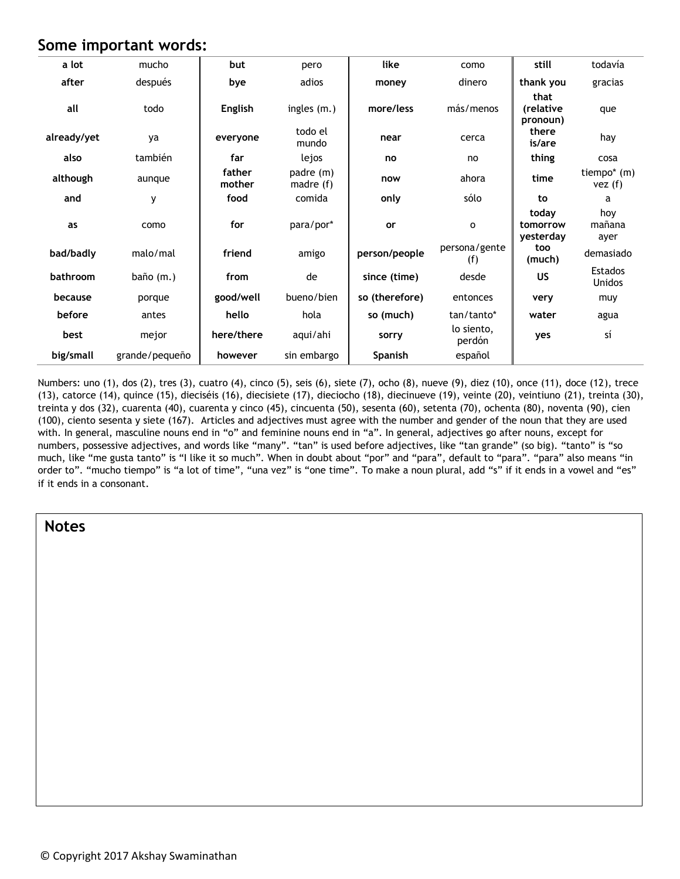## **Some important words:**

| a lot       | mucho          | but              | pero                     | like           | como                 | still                          | todavía                         |
|-------------|----------------|------------------|--------------------------|----------------|----------------------|--------------------------------|---------------------------------|
| after       | después        | bye              | adios                    | money          | dinero               | thank you                      | gracias                         |
| all         | todo           | English          | ingles (m.)              | more/less      | más/menos            | that<br>(relative<br>pronoun)  | que                             |
| already/yet | ya             | everyone         | todo el<br>mundo         | near           | cerca                | there<br>is/are                | hay                             |
| also        | también        | far              | lejos                    | no             | no                   | thing                          | cosa                            |
| although    | aunque         | father<br>mother | padre (m)<br>madre $(f)$ | now            | ahora                | time                           | tiempo* (m)<br>vez(f)           |
| and         | y              | food             | comida                   | only           | sólo                 | to                             | a                               |
| as          | como           | for              | para/por*                | or             | $\mathsf{o}\xspace$  | today<br>tomorrow<br>yesterday | hoy<br>mañana<br>ayer           |
| bad/badly   | malo/mal       | friend           | amigo                    | person/people  | persona/gente<br>(f) | too<br>(much)                  | demasiado                       |
| bathroom    | baño (m.)      | from             | de                       | since (time)   | desde                | US                             | <b>Estados</b><br><b>Unidos</b> |
| because     | porque         | good/well        | bueno/bien               | so (therefore) | entonces             | very                           | muy                             |
| before      | antes          | hello            | hola                     | so (much)      | tan/tanto*           | water                          | agua                            |
| best        | mejor          | here/there       | aqui/ahi                 | sorry          | lo siento,<br>perdón | yes                            | sí                              |
| big/small   | grande/pequeño | however          | sin embargo              | Spanish        | español              |                                |                                 |

Numbers: uno (1), dos (2), tres (3), cuatro (4), cinco (5), seis (6), siete (7), ocho (8), nueve (9), diez (10), once (11), doce (12), trece (13), catorce (14), quince (15), dieciséis (16), diecisiete (17), dieciocho (18), diecinueve (19), veinte (20), veintiuno (21), treinta (30), treinta y dos (32), cuarenta (40), cuarenta y cinco (45), cincuenta (50), sesenta (60), setenta (70), ochenta (80), noventa (90), cien (100), ciento sesenta y siete (167). Articles and adjectives must agree with the number and gender of the noun that they are used with. In general, masculine nouns end in "o" and feminine nouns end in "a". In general, adjectives go after nouns, except for numbers, possessive adjectives, and words like "many". "tan" is used before adjectives, like "tan grande" (so big). "tanto" is "so much, like "me gusta tanto" is "I like it so much". When in doubt about "por" and "para", default to "para". "para" also means "in order to". "mucho tiempo" is "a lot of time", "una vez" is "one time". To make a noun plural, add "s" if it ends in a vowel and "es" if it ends in a consonant.

**Notes**